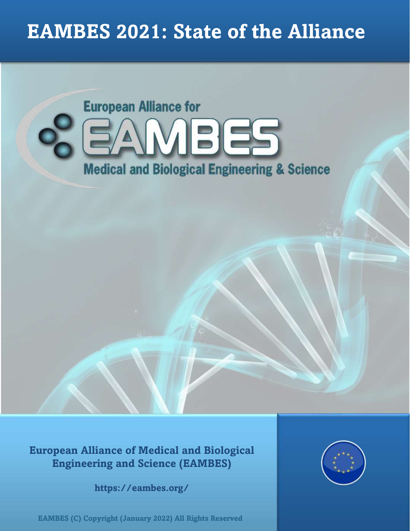# **EAMBES 2021: State of the Alliance**



**European Alliance of Medical and Biological Engineering and Science (EAMBES)**

**https://eambes.org/**

**https://eambes.org/ EAMBES (C) Copyright (January 2022) All Rights Reserved**

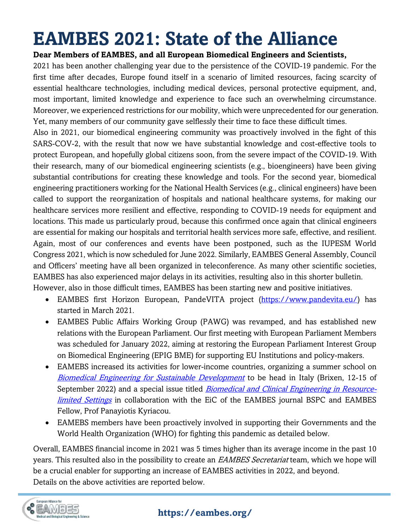# **EAMBES 2021: State of the Alliance**

#### **Dear Members of EAMBES, and all European Biomedical Engineers and Scientists,**

2021 has been another challenging year due to the persistence of the COVID-19 pandemic. For the first time after decades, Europe found itself in a scenario of limited resources, facing scarcity of essential healthcare technologies, including medical devices, personal protective equipment, and, most important, limited knowledge and experience to face such an overwhelming circumstance. Moreover, we experienced restrictions for our mobility, which were unprecedented for our generation. Yet, many members of our community gave selflessly their time to face these difficult times.

Also in 2021, our biomedical engineering community was proactively involved in the fight of this SARS-COV-2, with the result that now we have substantial knowledge and cost-effective tools to protect European, and hopefully global citizens soon, from the severe impact of the COVID-19. With their research, many of our biomedical engineering scientists (e.g., bioengineers) have been giving substantial contributions for creating these knowledge and tools. For the second year, biomedical engineering practitioners working for the National Health Services (e.g., clinical engineers) have been called to support the reorganization of hospitals and national healthcare systems, for making our healthcare services more resilient and effective, responding to COVID-19 needs for equipment and locations. This made us particularly proud, because this confirmed once again that clinical engineers are essential for making our hospitals and territorial health services more safe, effective, and resilient. Again, most of our conferences and events have been postponed, such as the IUPESM World Congress 2021, which is now scheduled for June 2022. Similarly, EAMBES General Assembly, Council and Officers' meeting have all been organized in teleconference. As many other scientific societies, EAMBES has also experienced major delays in its activities, resulting also in this shorter bulletin. However, also in those difficult times, EAMBES has been starting new and positive initiatives.

- EAMBES first Horizon European, PandeVITA project [\(https://www.pandevita.eu/\)](https://www.pandevita.eu/) has started in March 2021.
- EAMBES Public Affairs Working Group (PAWG) was revamped, and has established new relations with the European Parliament. Our first meeting with European Parliament Members was scheduled for January 2022, aiming at restoring the European Parliament Interest Group on Biomedical Engineering (EPIG BME) for supporting EU Institutions and policy-makers.
- EAMEBS increased its activities for lower-income countries, organizing a summer school on [Biomedical Engineering for Sustainable Development](https://www.grupponazionalebioingegneria.it/gnbevent/xli-annual-school-2022-biomedical-engineering-for-sustainable-development/) to be head in Italy (Brixen, 12-15 of September 2022) and a special issue titled *[Biomedical and Clinical Engineering in Resource](https://www.journals.elsevier.com/biomedical-signal-processing-and-control/call-for-papers/call-for-papers-biomedical-and-clinical-engineering-in-resource-limited-settings)*[limited Settings](https://www.journals.elsevier.com/biomedical-signal-processing-and-control/call-for-papers/call-for-papers-biomedical-and-clinical-engineering-in-resource-limited-settings) in collaboration with the EiC of the EAMBES journal BSPC and EAMBES Fellow, Prof Panayiotis Kyriacou.
- EAMEBS members have been proactively involved in supporting their Governments and the World Health Organization (WHO) for fighting this pandemic as detailed below.

Overall, EAMBES financial income in 2021 was 5 times higher than its average income in the past 10 years. This resulted also in the possibility to create an EAMBES Secretariat team, which we hope will be a crucial enabler for supporting an increase of EAMBES activities in 2022, and beyond. Details on the above activities are reported below.

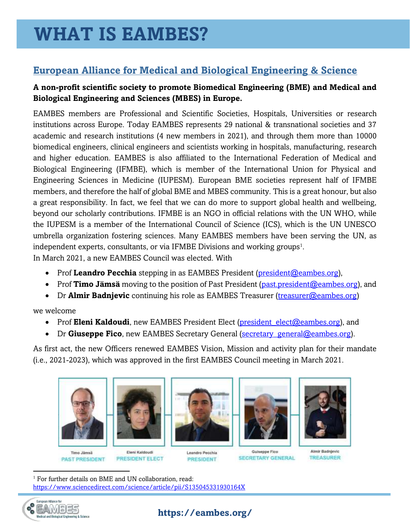# **European Alliance for Medical and Biological Engineering & Science**

#### **A non-profit scientific society to promote Biomedical Engineering (BME) and Medical and Biological Engineering and Sciences (MBES) in Europe.**

EAMBES members are Professional and Scientific Societies, Hospitals, Universities or research institutions across Europe. Today EAMBES represents 29 national & transnational societies and 37 academic and research institutions (4 new members in 2021), and through them more than 10000 biomedical engineers, clinical engineers and scientists working in hospitals, manufacturing, research and higher education. EAMBES is also affiliated to the International Federation of Medical and Biological Engineering (IFMBE), which is member of the International Union for Physical and Engineering Sciences in Medicine (IUPESM). European BME societies represent half of IFMBE members, and therefore the half of global BME and MBES community. This is a great honour, but also a great responsibility. In fact, we feel that we can do more to support global health and wellbeing, beyond our scholarly contributions. IFMBE is an NGO in official relations with the UN WHO, while the IUPESM is a member of the International Council of Science (ICS), which is the UN UNESCO umbrella organization fostering sciences. Many EAMBES members have been serving the UN, as independent experts, consultants, or via IFMBE Divisions and working groups<sup>1</sup>. In March 2021, a new EAMBES Council was elected. With

- Prof Leandro Pecchia stepping in as EAMBES President (president @eambes.org),
- Prof **Timo Jämsä** moving to the position of Past President [\(past.president@eambes.org\)](mailto:past.president@eambes.org), and
- Dr **Almir Badnievic** continuing his role as EAMBES Treasurer [\(treasurer@eambes.org\)](mailto:treasurer@eambes.org)

we welcome

- Prof **Eleni Kaldoudi**, new EAMBES President Elect (president elect@eambes.org), and
- Dr Giuseppe Fico, new EAMBES Secretary General (secretary general@eambes.org).

As first act, the new Officers renewed EAMBES Vision, Mission and activity plan for their mandate (i.e., 2021-2023), which was approved in the first EAMBES Council meeting in March 2021.



















Almir Badnjevic **TREASURER** 

<sup>1</sup> For further details on BME and UN collaboration, read: <https://www.sciencedirect.com/science/article/pii/S135045331930164X>

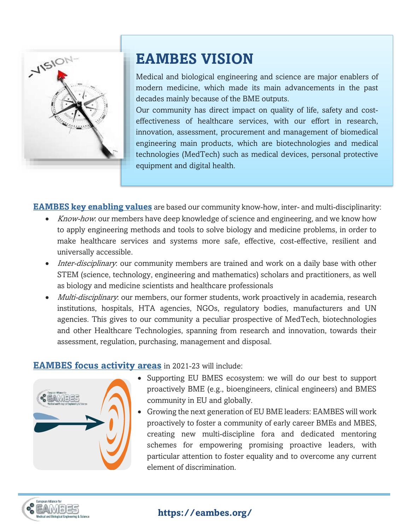

# **EAMBES VISION**

Medical and biological engineering and science are major enablers of modern medicine, which made its main advancements in the past decades mainly because of the BME outputs.

Our community has direct impact on quality of life, safety and costeffectiveness of healthcare services, with our effort in research, innovation, assessment, procurement and management of biomedical engineering main products, which are biotechnologies and medical technologies (MedTech) such as medical devices, personal protective equipment and digital health.

**EAMBES key enabling values** are based our community know-how, inter- and multi-disciplinarity:

- *Know-how*: our members have deep knowledge of science and engineering, and we know how to apply engineering methods and tools to solve biology and medicine problems, in order to make healthcare services and systems more safe, effective, cost-effective, resilient and universally accessible.
- Inter-disciplinary: our community members are trained and work on a daily base with other STEM (science, technology, engineering and mathematics) scholars and practitioners, as well as biology and medicine scientists and healthcare professionals
- *Multi-disciplinary*: our members, our former students, work proactively in academia, research institutions, hospitals, HTA agencies, NGOs, regulatory bodies, manufacturers and UN agencies. This gives to our community a peculiar prospective of MedTech, biotechnologies and other Healthcare Technologies, spanning from research and innovation, towards their assessment, regulation, purchasing, management and disposal.

#### **EAMBES focus activity areas** in 2021-23 will include:



- Supporting EU BMES ecosystem: we will do our best to support proactively BME (e.g., bioengineers, clinical engineers) and BMES community in EU and globally.
- Growing the next generation of EU BME leaders: EAMBES will work proactively to foster a community of early career BMEs and MBES, creating new multi-discipline fora and dedicated mentoring schemes for empowering promising proactive leaders, with particular attention to foster equality and to overcome any current element of discrimination.

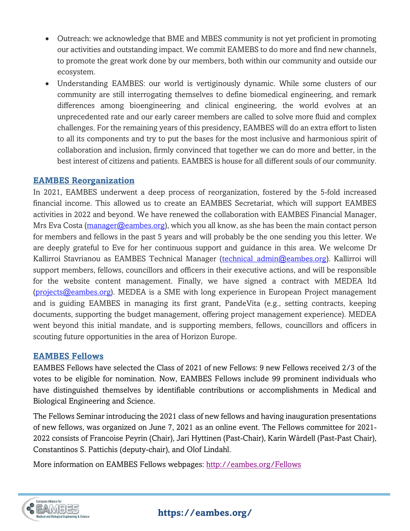- Outreach: we acknowledge that BME and MBES community is not yet proficient in promoting our activities and outstanding impact. We commit EAMEBS to do more and find new channels, to promote the great work done by our members, both within our community and outside our ecosystem.
- Understanding EAMBES: our world is vertiginously dynamic. While some clusters of our community are still interrogating themselves to define biomedical engineering, and remark differences among bioengineering and clinical engineering, the world evolves at an unprecedented rate and our early career members are called to solve more fluid and complex challenges. For the remaining years of this presidency, EAMBES will do an extra effort to listen to all its components and try to put the bases for the most inclusive and harmonious spirit of collaboration and inclusion, firmly convinced that together we can do more and better, in the best interest of citizens and patients. EAMBES is house for all different souls of our community.

#### **EAMBES Reorganization**

In 2021, EAMBES underwent a deep process of reorganization, fostered by the 5-fold increased financial income. This allowed us to create an EAMBES Secretariat, which will support EAMBES activities in 2022 and beyond. We have renewed the collaboration with EAMBES Financial Manager, Mrs Eva Costa [\(manager@eambes.org\)](mailto:manager@eambes.org), which you all know, as she has been the main contact person for members and fellows in the past 5 years and will probably be the one sending you this letter. We are deeply grateful to Eve for her continuous support and guidance in this area. We welcome Dr Kallirroi Stavrianou as EAMBES Technical Manager (technical admin@eambes.org). Kallirroi will support members, fellows, councillors and officers in their executive actions, and will be responsible for the website content management. Finally, we have signed a contract with MEDEA ltd  $(projects@eambes.org)$ . MEDEA is a SME with long experience in European Project management and is guiding EAMBES in managing its first grant, PandeVita (e.g., setting contracts, keeping documents, supporting the budget management, offering project management experience). MEDEA went beyond this initial mandate, and is supporting members, fellows, councillors and officers in scouting future opportunities in the area of Horizon Europe.

#### **EAMBES Fellows**

EAMBES Fellows have selected the Class of 2021 of new Fellows: 9 new Fellows received 2/3 of the votes to be eligible for nomination. Now, EAMBES Fellows include 99 prominent individuals who have distinguished themselves by identifiable contributions or accomplishments in Medical and Biological Engineering and Science.

The Fellows Seminar introducing the 2021 class of new fellows and having inauguration presentations of new fellows, was organized on June 7, 2021 as an online event. The Fellows committee for 2021- 2022 consists of Francoise Peyrin (Chair), Jari Hyttinen (Past-Chair), Karin Wårdell (Past-Past Chair), Constantinos S. Pattichis (deputy-chair), and Olof Lindahl.

More information on EAMBES Fellows webpages:<http://eambes.org/Fellows>

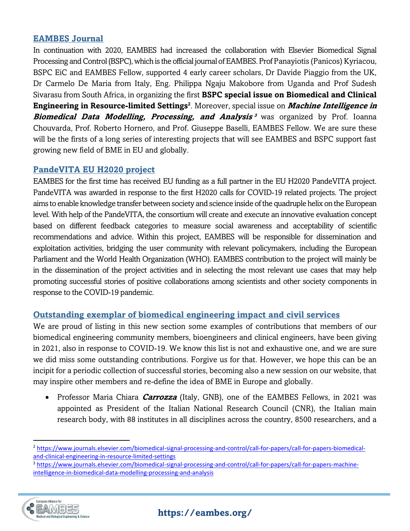#### **EAMBES Journal**

In continuation with 2020, EAMBES had increased the collaboration with Elsevier Biomedical Signal Processing and Control (BSPC), which is the official journal of EAMBES. Prof Panayiotis (Panicos) Kyriacou, BSPC EiC and EAMBES Fellow, supported 4 early career scholars, Dr Davide Piaggio from the UK, Dr Carmelo De Maria from Italy, Eng. Philippa Ngaju Makobore from Uganda and Prof Sudesh Sivarasu from South Africa, in organizing the first **BSPC special issue on Biomedical and Clinical Engineering in Resource-limited Settings<sup>2</sup>** . Moreover, special issue on **Machine Intelligence in Biomedical Data Modelling, Processing, and Analysis<sup>3</sup> was organized by Prof. Ioanna** Chouvarda, Prof. Roberto Hornero, and Prof. Giuseppe Baselli, EAMBES Fellow. We are sure these will be the firsts of a long series of interesting projects that will see EAMBES and BSPC support fast growing new field of BME in EU and globally.

#### **PandeVITA EU H2020 project**

EAMBES for the first time has received EU funding as a full partner in the EU H2020 PandeVITA project. PandeVITA was awarded in response to the first H2020 calls for COVID-19 related projects. The project aims to enable knowledge transfer between society and science inside of the quadruple helix on the European level. With help of the PandeVITA, the consortium will create and execute an innovative evaluation concept based on different feedback categories to measure social awareness and acceptability of scientific recommendations and advice. Within this project, EAMBES will be responsible for dissemination and exploitation activities, bridging the user community with relevant policymakers, including the European Parliament and the World Health Organization (WHO). EAMBES contribution to the project will mainly be in the dissemination of the project activities and in selecting the most relevant use cases that may help promoting successful stories of positive collaborations among scientists and other society components in response to the COVID-19 pandemic.

#### **Outstanding exemplar of biomedical engineering impact and civil services**

We are proud of listing in this new section some examples of contributions that members of our biomedical engineering community members, bioengineers and clinical engineers, have been giving in 2021, also in response to COVID-19. We know this list is not and exhaustive one, and we are sure we did miss some outstanding contributions. Forgive us for that. However, we hope this can be an incipit for a periodic collection of successful stories, becoming also a new session on our website, that may inspire other members and re-define the idea of BME in Europe and globally.

• Professor Maria Chiara **Carrozza** (Italy, GNB), one of the EAMBES Fellows, in 2021 was appointed as President of the Italian National Research Council (CNR), the Italian main research body, with 88 institutes in all disciplines across the country, 8500 researchers, and a

<sup>&</sup>lt;sup>3</sup> [https://www.journals.elsevier.com/biomedical-signal-processing-and-control/call-for-papers/call-for-papers-machine](https://www.journals.elsevier.com/biomedical-signal-processing-and-control/call-for-papers/call-for-papers-machine-intelligence-in-biomedical-data-modelling-processing-and-analysis)[intelligence-in-biomedical-data-modelling-processing-and-analysis](https://www.journals.elsevier.com/biomedical-signal-processing-and-control/call-for-papers/call-for-papers-machine-intelligence-in-biomedical-data-modelling-processing-and-analysis)



<sup>2</sup> [https://www.journals.elsevier.com/biomedical-signal-processing-and-control/call-for-papers/call-for-papers-biomedical](https://www.journals.elsevier.com/biomedical-signal-processing-and-control/call-for-papers/call-for-papers-biomedical-and-clinical-engineering-in-resource-limited-settings)[and-clinical-engineering-in-resource-limited-settings](https://www.journals.elsevier.com/biomedical-signal-processing-and-control/call-for-papers/call-for-papers-biomedical-and-clinical-engineering-in-resource-limited-settings)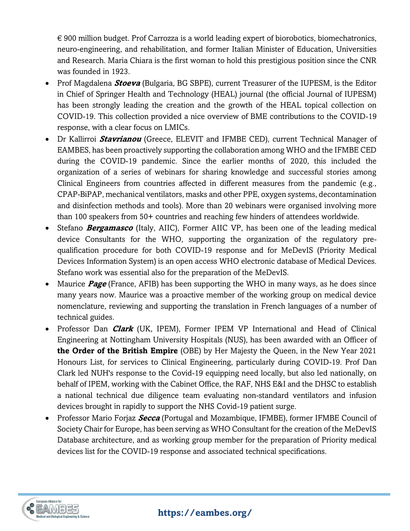€ 900 million budget. Prof Carrozza is a world leading expert of biorobotics, biomechatronics, neuro-engineering, and rehabilitation, and former Italian Minister of Education, Universities and Research. Maria Chiara is the first woman to hold this prestigious position since the CNR was founded in 1923.

- Prof Magdalena **Stoeva** (Bulgaria, BG SBPE), current Treasurer of the IUPESM, is the Editor in Chief of Springer Health and Technology (HEAL) journal (the official Journal of IUPESM) has been strongly leading the creation and the growth of the HEAL topical collection on COVID-19. This collection provided a nice overview of BME contributions to the COVID-19 response, with a clear focus on LMICs.
- Dr Kallirroi **Stavrianou** (Greece, ELEVIT and IFMBE CED), current Technical Manager of EAMBES, has been proactively supporting the collaboration among WHO and the IFMBE CED during the COVID-19 pandemic. Since the earlier months of 2020, this included the organization of a series of webinars for sharing knowledge and successful stories among Clinical Engineers from countries affected in different measures from the pandemic (e.g., CPAP-BiPAP, mechanical ventilators, masks and other PPE, oxygen systems, decontamination and disinfection methods and tools). More than 20 webinars were organised involving more than 100 speakers from 50+ countries and reaching few hinders of attendees worldwide.
- Stefano **Bergamasco** (Italy, AIIC), Former AIIC VP, has been one of the leading medical device Consultants for the WHO, supporting the organization of the regulatory prequalification procedure for both COVID-19 response and for MeDevIS (Priority Medical Devices Information System) is an open access WHO electronic database of Medical Devices. Stefano work was essential also for the preparation of the MeDevIS.
- Maurice **Page** (France, AFIB) has been supporting the WHO in many ways, as he does since many years now. Maurice was a proactive member of the working group on medical device nomenclature, reviewing and supporting the translation in French languages of a number of technical guides.
- Professor Dan **Clark** (UK, IPEM), Former IPEM VP International and Head of Clinical Engineering at Nottingham University Hospitals (NUS), has been awarded with an Officer of **the Order of the British Empire** (OBE) by Her Majesty the Queen, in the New Year 2021 Honours List, for services to Clinical Engineering, particularly during COVID-19. Prof Dan Clark led NUH's response to the Covid-19 equipping need locally, but also led nationally, on behalf of IPEM, working with the Cabinet Office, the RAF, NHS E&I and the DHSC to establish a national technical due diligence team evaluating non-standard ventilators and infusion devices brought in rapidly to support the NHS Covid-19 patient surge.
- Professor Mario Forjaz **Secca** (Portugal and Mozambique, IFMBE), former IFMBE Council of Society Chair for Europe, has been serving as WHO Consultant for the creation of the MeDevIS Database architecture, and as working group member for the preparation of Priority medical devices list for the COVID-19 response and associated technical specifications.

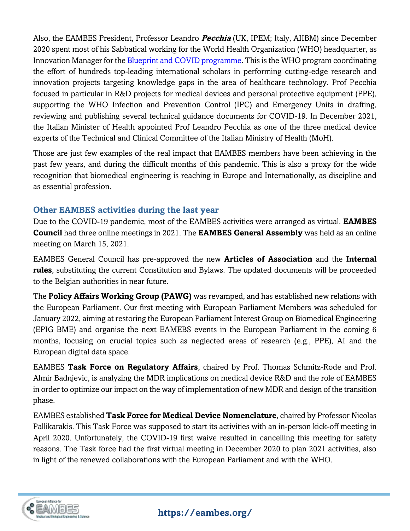Also, the EAMBES President, Professor Leandro **Pecchia** (UK, IPEM; Italy, AIIBM) since December 2020 spent most of his Sabbatical working for the World Health Organization (WHO) headquarter, as Innovation Manager for the **Blueprint and COVID programme**. This is the WHO program coordinating the effort of hundreds top-leading international scholars in performing cutting-edge research and innovation projects targeting knowledge gaps in the area of healthcare technology. Prof Pecchia focused in particular in R&D projects for medical devices and personal protective equipment (PPE), supporting the WHO Infection and Prevention Control (IPC) and Emergency Units in drafting, reviewing and publishing several technical guidance documents for COVID-19. In December 2021, the Italian Minister of Health appointed Prof Leandro Pecchia as one of the three medical device experts of the Technical and Clinical Committee of the Italian Ministry of Health (MoH).

Those are just few examples of the real impact that EAMBES members have been achieving in the past few years, and during the difficult months of this pandemic. This is also a proxy for the wide recognition that biomedical engineering is reaching in Europe and Internationally, as discipline and as essential profession.

#### **Other EAMBES activities during the last year**

Due to the COVID-19 pandemic, most of the EAMBES activities were arranged as virtual. **EAMBES Council** had three online meetings in 2021. The **EAMBES General Assembly** was held as an online meeting on March 15, 2021.

EAMBES General Council has pre-approved the new **Articles of Association** and the **Internal rules**, substituting the current Constitution and Bylaws. The updated documents will be proceeded to the Belgian authorities in near future.

The **Policy Affairs Working Group (PAWG)** was revamped, and has established new relations with the European Parliament. Our first meeting with European Parliament Members was scheduled for January 2022, aiming at restoring the European Parliament Interest Group on Biomedical Engineering (EPIG BME) and organise the next EAMEBS events in the European Parliament in the coming 6 months, focusing on crucial topics such as neglected areas of research (e.g., PPE), AI and the European digital data space.

EAMBES **Task Force on Regulatory Affairs**, chaired by Prof. Thomas Schmitz-Rode and Prof. Almir Badnjevic, is analyzing the MDR implications on medical device R&D and the role of EAMBES in order to optimize our impact on the way of implementation of new MDR and design of the transition phase.

EAMBES established **Task Force for Medical Device Nomenclature**, chaired by Professor Nicolas Pallikarakis. This Task Force was supposed to start its activities with an in-person kick-off meeting in April 2020. Unfortunately, the COVID-19 first waive resulted in cancelling this meeting for safety reasons. The Task force had the first virtual meeting in December 2020 to plan 2021 activities, also in light of the renewed collaborations with the European Parliament and with the WHO.

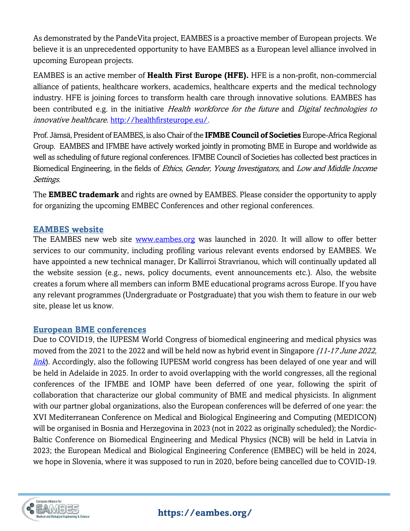As demonstrated by the PandeVita project, EAMBES is a proactive member of European projects. We believe it is an unprecedented opportunity to have EAMBES as a European level alliance involved in upcoming European projects.

EAMBES is an active member of **Health First Europe (HFE).** HFE is a non-profit, non-commercial alliance of patients, healthcare workers, academics, healthcare experts and the medical technology industry. HFE is joining forces to transform health care through innovative solutions. EAMBES has been contributed e.g. in the initiative *Health workforce for the future* and *Digital technologies to* innovative healthcare. [http://healthfirsteurope.eu/.](http://healthfirsteurope.eu/)

Prof. Jämsä, President of EAMBES, is also Chair of the **IFMBE Council of Societies** Europe-Africa Regional Group. EAMBES and IFMBE have actively worked jointly in promoting BME in Europe and worldwide as well as scheduling of future regional conferences. IFMBE Council of Societies has collected best practices in Biomedical Engineering, in the fields of Ethics, Gender, Young Investigators, and Low and Middle Income Settings.

The **EMBEC trademark** and rights are owned by EAMBES. Please consider the opportunity to apply for organizing the upcoming EMBEC Conferences and other regional conferences.

#### **EAMBES website**

The EAMBES new web site [www.eambes.org](http://www.eambes.org/) was launched in 2020. It will allow to offer better services to our community, including profiling various relevant events endorsed by EAMBES. We have appointed a new technical manager, Dr Kallirroi Stravrianou, which will continually updated all the website session (e.g., news, policy documents, event announcements etc.). Also, the website creates a forum where all members can inform BME educational programs across Europe. If you have any relevant programmes (Undergraduate or Postgraduate) that you wish them to feature in our web site, please let us know.

#### **European BME conferences**

Due to COVID19, the IUPESM World Congress of biomedical engineering and medical physics was moved from the 2021 to the 2022 and will be held now as hybrid event in Singapore (11-17 June 2022, [link](https://wc2022.org/)). Accordingly, also the following IUPESM world congress has been delayed of one year and will be held in Adelaide in 2025. In order to avoid overlapping with the world congresses, all the regional conferences of the IFMBE and IOMP have been deferred of one year, following the spirit of collaboration that characterize our global community of BME and medical physicists. In alignment with our partner global organizations, also the European conferences will be deferred of one year: the XVI Mediterranean Conference on Medical and Biological Engineering and Computing (MEDICON) will be organised in Bosnia and Herzegovina in 2023 (not in 2022 as originally scheduled); the Nordic-Baltic Conference on Biomedical Engineering and Medical Physics (NCB) will be held in Latvia in 2023; the European Medical and Biological Engineering Conference (EMBEC) will be held in 2024, we hope in Slovenia, where it was supposed to run in 2020, before being cancelled due to COVID-19.

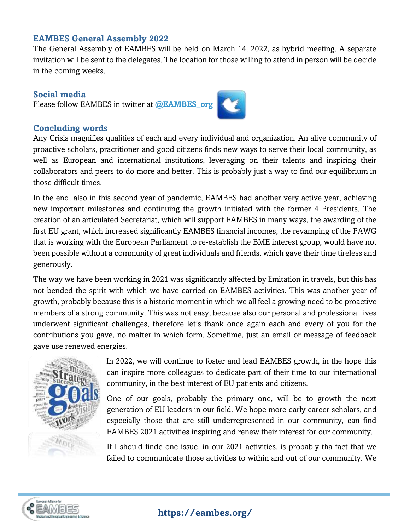#### **EAMBES General Assembly 2022**

The General Assembly of EAMBES will be held on March 14, 2022, as hybrid meeting. A separate invitation will be sent to the delegates. The location for those willing to attend in person will be decide in the coming weeks.

#### **Social media**

Please follow EAMBES in twitter at **[@EAMBES\\_org](https://twitter.com/EAMBES_org)**



Any Crisis magnifies qualities of each and every individual and organization. An alive community of proactive scholars, practitioner and good citizens finds new ways to serve their local community, as well as European and international institutions, leveraging on their talents and inspiring their collaborators and peers to do more and better. This is probably just a way to find our equilibrium in those difficult times.

In the end, also in this second year of pandemic, EAMBES had another very active year, achieving new important milestones and continuing the growth initiated with the former 4 Presidents. The creation of an articulated Secretariat, which will support EAMBES in many ways, the awarding of the first EU grant, which increased significantly EAMBES financial incomes, the revamping of the PAWG that is working with the European Parliament to re-establish the BME interest group, would have not been possible without a community of great individuals and friends, which gave their time tireless and generously.

The way we have been working in 2021 was significantly affected by limitation in travels, but this has not bended the spirit with which we have carried on EAMBES activities. This was another year of growth, probably because this is a historic moment in which we all feel a growing need to be proactive members of a strong community. This was not easy, because also our personal and professional lives underwent significant challenges, therefore let's thank once again each and every of you for the contributions you gave, no matter in which form. Sometime, just an email or message of feedback gave use renewed energies.



In 2022, we will continue to foster and lead EAMBES growth, in the hope this can inspire more colleagues to dedicate part of their time to our international community, in the best interest of EU patients and citizens.

One of our goals, probably the primary one, will be to growth the next generation of EU leaders in our field. We hope more early career scholars, and especially those that are still underrepresented in our community, can find EAMBES 2021 activities inspiring and renew their interest for our community.

If I should finde one issue, in our 2021 activities, is probably tha fact that we failed to communicate those activities to within and out of our community. We